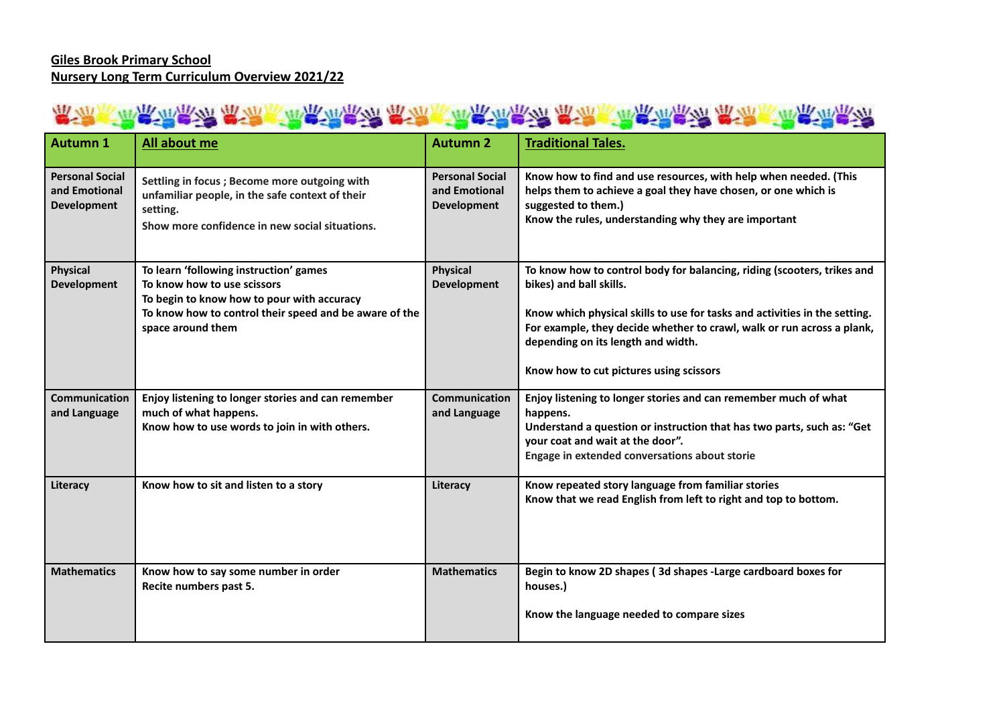### 常<mark>说,"我先很不好,我不是,你很不好,我不会不好,你不会不好,我不会</mark>不会不好。"

| <b>Autumn 1</b>                                               | All about me                                                                                                                                                                                       | <b>Autumn 2</b>                                               | <b>Traditional Tales.</b>                                                                                                                                                                                                                                                                                                                   |
|---------------------------------------------------------------|----------------------------------------------------------------------------------------------------------------------------------------------------------------------------------------------------|---------------------------------------------------------------|---------------------------------------------------------------------------------------------------------------------------------------------------------------------------------------------------------------------------------------------------------------------------------------------------------------------------------------------|
| <b>Personal Social</b><br>and Emotional<br><b>Development</b> | Settling in focus ; Become more outgoing with<br>unfamiliar people, in the safe context of their<br>setting.<br>Show more confidence in new social situations.                                     | <b>Personal Social</b><br>and Emotional<br><b>Development</b> | Know how to find and use resources, with help when needed. (This<br>helps them to achieve a goal they have chosen, or one which is<br>suggested to them.)<br>Know the rules, understanding why they are important                                                                                                                           |
| <b>Physical</b><br><b>Development</b>                         | To learn 'following instruction' games<br>To know how to use scissors<br>To begin to know how to pour with accuracy<br>To know how to control their speed and be aware of the<br>space around them | <b>Physical</b><br><b>Development</b>                         | To know how to control body for balancing, riding (scooters, trikes and<br>bikes) and ball skills.<br>Know which physical skills to use for tasks and activities in the setting.<br>For example, they decide whether to crawl, walk or run across a plank,<br>depending on its length and width.<br>Know how to cut pictures using scissors |
| Communication<br>and Language                                 | Enjoy listening to longer stories and can remember<br>much of what happens.<br>Know how to use words to join in with others.                                                                       | <b>Communication</b><br>and Language                          | Enjoy listening to longer stories and can remember much of what<br>happens.<br>Understand a question or instruction that has two parts, such as: "Get<br>your coat and wait at the door".<br>Engage in extended conversations about storie                                                                                                  |
| Literacy                                                      | Know how to sit and listen to a story                                                                                                                                                              | Literacy                                                      | Know repeated story language from familiar stories<br>Know that we read English from left to right and top to bottom.                                                                                                                                                                                                                       |
| <b>Mathematics</b>                                            | Know how to say some number in order<br>Recite numbers past 5.                                                                                                                                     | <b>Mathematics</b>                                            | Begin to know 2D shapes (3d shapes - Large cardboard boxes for<br>houses.)<br>Know the language needed to compare sizes                                                                                                                                                                                                                     |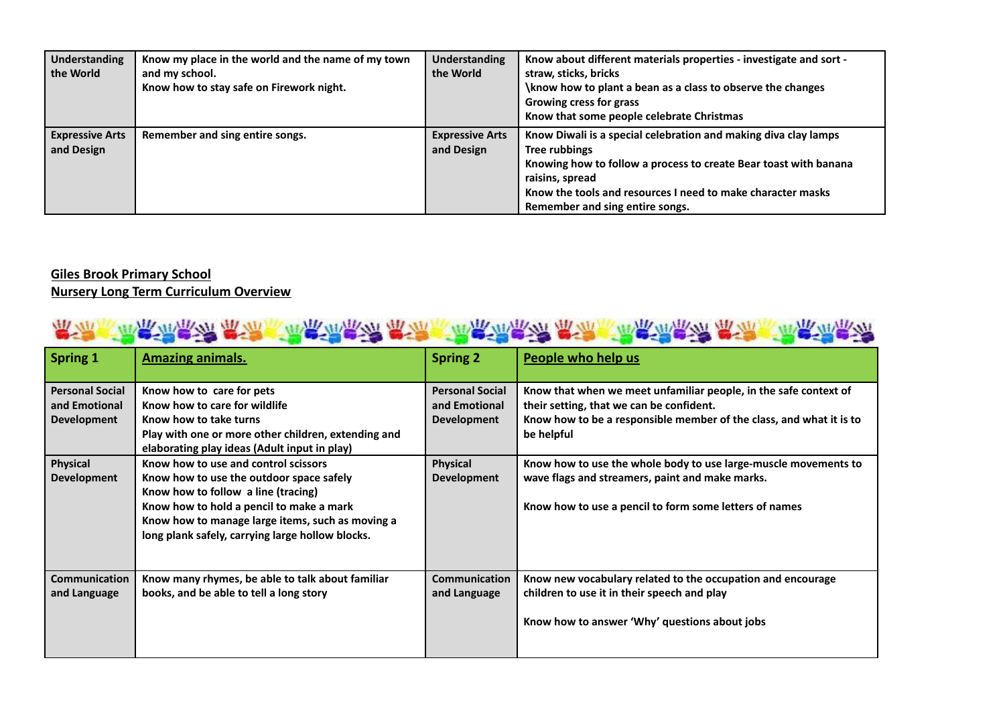| <b>Understanding</b><br>the World    | Know my place in the world and the name of my town<br>and my school.<br>Know how to stay safe on Firework night. | <b>Understanding</b><br>the World    | Know about different materials properties - investigate and sort -<br>straw, sticks, bricks<br>\know how to plant a bean as a class to observe the changes<br><b>Growing cress for grass</b><br>Know that some people celebrate Christmas                                 |
|--------------------------------------|------------------------------------------------------------------------------------------------------------------|--------------------------------------|---------------------------------------------------------------------------------------------------------------------------------------------------------------------------------------------------------------------------------------------------------------------------|
| <b>Expressive Arts</b><br>and Design | Remember and sing entire songs.                                                                                  | <b>Expressive Arts</b><br>and Design | Know Diwali is a special celebration and making diva clay lamps<br>Tree rubbings<br>Knowing how to follow a process to create Bear toast with banana<br>raisins, spread<br>Know the tools and resources I need to make character masks<br>Remember and sing entire songs. |

### **Giles Brook Primary School Nursery Long Term Curriculum Overview**

## 意识,不是怎么说,我说,你怎么说……" "你……" "你……" "你……" "你……" "你……" "你……" "你……" "你……" "你……" "你……" "

| <b>Spring 1</b>                                               | <b>Amazing animals.</b>                                                                                                                                                                                                                                                     | <b>Spring 2</b>                                               | People who help us                                                                                                                                                                                |
|---------------------------------------------------------------|-----------------------------------------------------------------------------------------------------------------------------------------------------------------------------------------------------------------------------------------------------------------------------|---------------------------------------------------------------|---------------------------------------------------------------------------------------------------------------------------------------------------------------------------------------------------|
| <b>Personal Social</b><br>and Emotional<br><b>Development</b> | Know how to care for pets<br>Know how to care for wildlife<br>Know how to take turns<br>Play with one or more other children, extending and<br>elaborating play ideas (Adult input in play)                                                                                 | <b>Personal Social</b><br>and Emotional<br><b>Development</b> | Know that when we meet unfamiliar people, in the safe context of<br>their setting, that we can be confident.<br>Know how to be a responsible member of the class, and what it is to<br>be helpful |
| <b>Physical</b><br><b>Development</b>                         | Know how to use and control scissors<br>Know how to use the outdoor space safely<br>Know how to follow a line (tracing)<br>Know how to hold a pencil to make a mark<br>Know how to manage large items, such as moving a<br>long plank safely, carrying large hollow blocks. | <b>Physical</b><br><b>Development</b>                         | Know how to use the whole body to use large-muscle movements to<br>wave flags and streamers, paint and make marks.<br>Know how to use a pencil to form some letters of names                      |
| <b>Communication</b><br>and Language                          | Know many rhymes, be able to talk about familiar<br>books, and be able to tell a long story                                                                                                                                                                                 | <b>Communication</b><br>and Language                          | Know new vocabulary related to the occupation and encourage<br>children to use it in their speech and play<br>Know how to answer 'Why' questions about jobs                                       |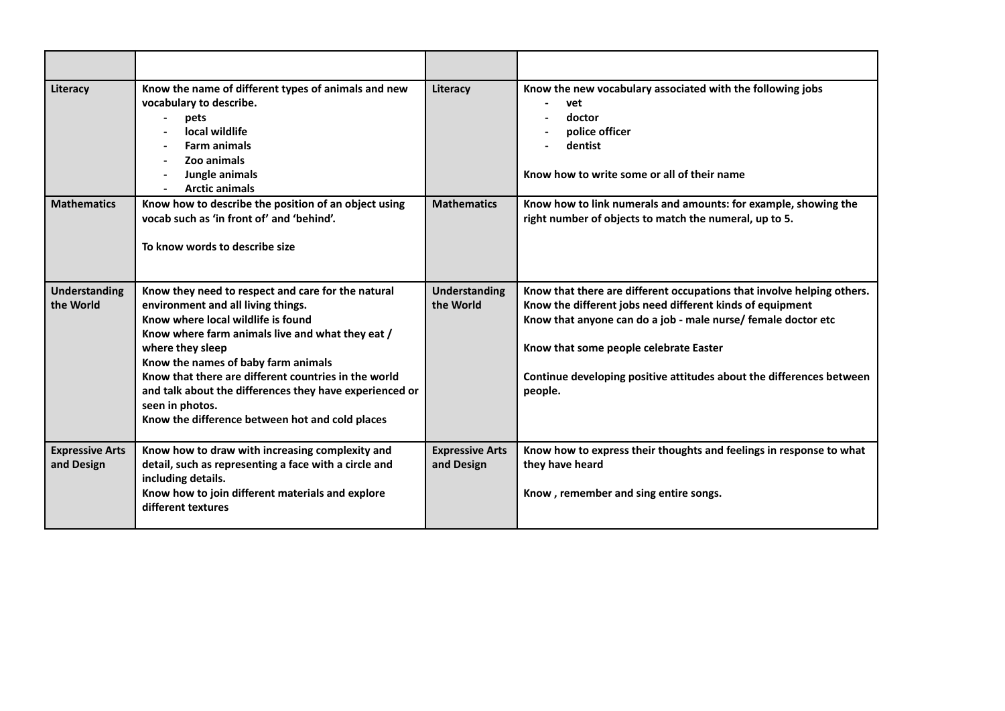| Literacy                             | Know the name of different types of animals and new<br>vocabulary to describe.<br>pets<br>local wildlife<br><b>Farm animals</b><br>Zoo animals<br>Jungle animals<br><b>Arctic animals</b>                                                                                                                                                                                                                                              | Literacy                             | Know the new vocabulary associated with the following jobs<br>vet<br>doctor<br>police officer<br>dentist<br>Know how to write some or all of their name                                                                                                                                                                           |
|--------------------------------------|----------------------------------------------------------------------------------------------------------------------------------------------------------------------------------------------------------------------------------------------------------------------------------------------------------------------------------------------------------------------------------------------------------------------------------------|--------------------------------------|-----------------------------------------------------------------------------------------------------------------------------------------------------------------------------------------------------------------------------------------------------------------------------------------------------------------------------------|
| <b>Mathematics</b>                   | Know how to describe the position of an object using<br>vocab such as 'in front of' and 'behind'.<br>To know words to describe size                                                                                                                                                                                                                                                                                                    | <b>Mathematics</b>                   | Know how to link numerals and amounts: for example, showing the<br>right number of objects to match the numeral, up to 5.                                                                                                                                                                                                         |
| <b>Understanding</b><br>the World    | Know they need to respect and care for the natural<br>environment and all living things.<br>Know where local wildlife is found<br>Know where farm animals live and what they eat /<br>where they sleep<br>Know the names of baby farm animals<br>Know that there are different countries in the world<br>and talk about the differences they have experienced or<br>seen in photos.<br>Know the difference between hot and cold places | <b>Understanding</b><br>the World    | Know that there are different occupations that involve helping others.<br>Know the different jobs need different kinds of equipment<br>Know that anyone can do a job - male nurse/ female doctor etc<br>Know that some people celebrate Easter<br>Continue developing positive attitudes about the differences between<br>people. |
| <b>Expressive Arts</b><br>and Design | Know how to draw with increasing complexity and<br>detail, such as representing a face with a circle and<br>including details.<br>Know how to join different materials and explore<br>different textures                                                                                                                                                                                                                               | <b>Expressive Arts</b><br>and Design | Know how to express their thoughts and feelings in response to what<br>they have heard<br>Know, remember and sing entire songs.                                                                                                                                                                                                   |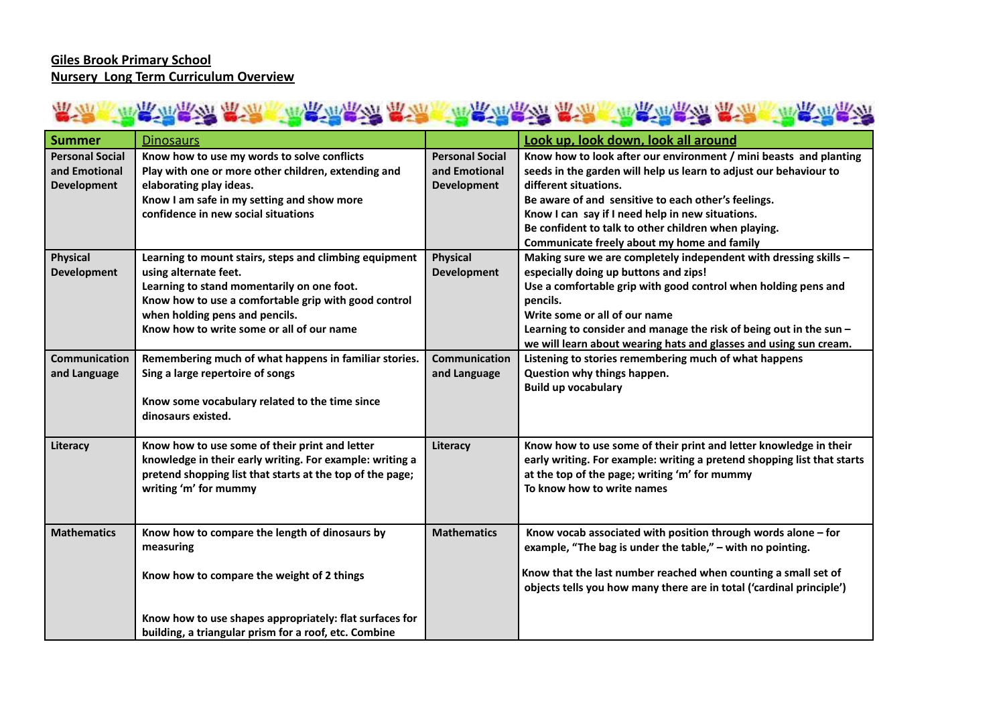#### **Giles Brook Primary School Nursery Long Term Curriculum Overview**

# KARIYA KARIYA KARIYA KARIYA KARIYA KARIYA KARIYA KARIYA

| <b>Summer</b>                                                 | <b>Dinosaurs</b>                                                                                                                                                                                                                                                     |                                                               | Look up, look down, look all around                                                                                                                                                                                                                                                                                                                                               |
|---------------------------------------------------------------|----------------------------------------------------------------------------------------------------------------------------------------------------------------------------------------------------------------------------------------------------------------------|---------------------------------------------------------------|-----------------------------------------------------------------------------------------------------------------------------------------------------------------------------------------------------------------------------------------------------------------------------------------------------------------------------------------------------------------------------------|
| <b>Personal Social</b><br>and Emotional<br><b>Development</b> | Know how to use my words to solve conflicts<br>Play with one or more other children, extending and<br>elaborating play ideas.<br>Know I am safe in my setting and show more<br>confidence in new social situations                                                   | <b>Personal Social</b><br>and Emotional<br><b>Development</b> | Know how to look after our environment / mini beasts and planting<br>seeds in the garden will help us learn to adjust our behaviour to<br>different situations.<br>Be aware of and sensitive to each other's feelings.<br>Know I can say if I need help in new situations.<br>Be confident to talk to other children when playing.<br>Communicate freely about my home and family |
| <b>Physical</b><br><b>Development</b>                         | Learning to mount stairs, steps and climbing equipment<br>using alternate feet.<br>Learning to stand momentarily on one foot.<br>Know how to use a comfortable grip with good control<br>when holding pens and pencils.<br>Know how to write some or all of our name | <b>Physical</b><br><b>Development</b>                         | Making sure we are completely independent with dressing skills -<br>especially doing up buttons and zips!<br>Use a comfortable grip with good control when holding pens and<br>pencils.<br>Write some or all of our name<br>Learning to consider and manage the risk of being out in the sun -<br>we will learn about wearing hats and glasses and using sun cream.               |
| Communication<br>and Language                                 | Remembering much of what happens in familiar stories.<br>Sing a large repertoire of songs<br>Know some vocabulary related to the time since<br>dinosaurs existed.                                                                                                    | Communication<br>and Language                                 | Listening to stories remembering much of what happens<br>Question why things happen.<br><b>Build up vocabulary</b>                                                                                                                                                                                                                                                                |
| Literacy                                                      | Know how to use some of their print and letter<br>knowledge in their early writing. For example: writing a<br>pretend shopping list that starts at the top of the page;<br>writing 'm' for mummy                                                                     | Literacy                                                      | Know how to use some of their print and letter knowledge in their<br>early writing. For example: writing a pretend shopping list that starts<br>at the top of the page; writing 'm' for mummy<br>To know how to write names                                                                                                                                                       |
| <b>Mathematics</b>                                            | Know how to compare the length of dinosaurs by<br>measuring<br>Know how to compare the weight of 2 things                                                                                                                                                            | <b>Mathematics</b>                                            | Know vocab associated with position through words alone - for<br>example, "The bag is under the table," - with no pointing.<br>Know that the last number reached when counting a small set of<br>objects tells you how many there are in total ('cardinal principle')                                                                                                             |
|                                                               | Know how to use shapes appropriately: flat surfaces for<br>building, a triangular prism for a roof, etc. Combine                                                                                                                                                     |                                                               |                                                                                                                                                                                                                                                                                                                                                                                   |